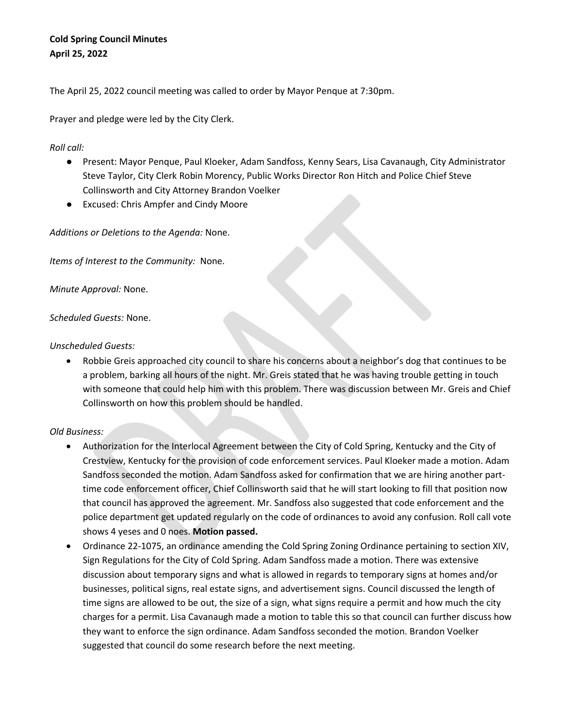## **Cold Spring Council Minutes April 25, 2022**

The April 25, 2022 council meeting was called to order by Mayor Penque at 7:30pm.

Prayer and pledge were led by the City Clerk.

*Roll call:*

- Present: Mayor Penque, Paul Kloeker, Adam Sandfoss, Kenny Sears, Lisa Cavanaugh, City Administrator Steve Taylor, City Clerk Robin Morency, Public Works Director Ron Hitch and Police Chief Steve Collinsworth and City Attorney Brandon Voelker
- Excused: Chris Ampfer and Cindy Moore

*Additions or Deletions to the Agenda:* None.

*Items of Interest to the Community:* None.

*Minute Approval:* None.

*Scheduled Guests:* None.

## *Unscheduled Guests:*

• Robbie Greis approached city council to share his concerns about a neighbor's dog that continues to be a problem, barking all hours of the night. Mr. Greis stated that he was having trouble getting in touch with someone that could help him with this problem. There was discussion between Mr. Greis and Chief Collinsworth on how this problem should be handled.

## *Old Business:*

- Authorization for the Interlocal Agreement between the City of Cold Spring, Kentucky and the City of Crestview, Kentucky for the provision of code enforcement services. Paul Kloeker made a motion. Adam Sandfoss seconded the motion. Adam Sandfoss asked for confirmation that we are hiring another parttime code enforcement officer, Chief Collinsworth said that he will start looking to fill that position now that council has approved the agreement. Mr. Sandfoss also suggested that code enforcement and the police department get updated regularly on the code of ordinances to avoid any confusion. Roll call vote shows 4 yeses and 0 noes. **Motion passed.**
- Ordinance 22-1075, an ordinance amending the Cold Spring Zoning Ordinance pertaining to section XIV, Sign Regulations for the City of Cold Spring. Adam Sandfoss made a motion. There was extensive discussion about temporary signs and what is allowed in regards to temporary signs at homes and/or businesses, political signs, real estate signs, and advertisement signs. Council discussed the length of time signs are allowed to be out, the size of a sign, what signs require a permit and how much the city charges for a permit. Lisa Cavanaugh made a motion to table this so that council can further discuss how they want to enforce the sign ordinance. Adam Sandfoss seconded the motion. Brandon Voelker suggested that council do some research before the next meeting.